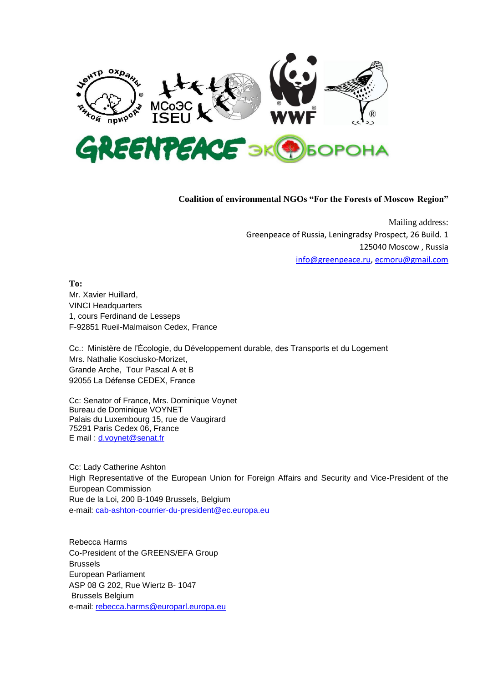

## **Coalition of environmental NGOs "For the Forests of Moscow Region"**

Mailing address: Greenpeace of Russia, Leningradsy Prospect, 26 Build. 1 125040 Moscow , Russia [info@greenpeace.ru,](mailto:info@greenpeace.ru) [ecmoru@gmail.com](mailto:ecmoru@gmail.com)

**To:** 

Mr. Xavier Huillard, VINCI Headquarters 1, cours Ferdinand de Lesseps F-92851 Rueil-Malmaison Cedex, France

Cc.: Ministère de l'Écologie, du Développement durable, des Transports et du Logement Mrs. Nathalie Kosciusko-Morizet, Grande Arche, Tour Pascal A et B 92055 La Défense CEDEX, France

Cc: Senator of France, Mrs. Dominique Voynet Bureau de Dominique VOYNET Palais du Luxembourg 15, rue de Vaugirard 75291 Paris Cedex 06, France E mail: [d.voynet@senat.fr](https://mail.google.com/mail/u/0/h/r0apcm17av1p/?v=b&cs=wh&to=d.voynet@senat.fr)

Cc: Lady Catherine Ashton High Representative of the European Union for Foreign Affairs and Security and Vice-President of the European Commission Rue de la Loi, 200 B-1049 Brussels, Belgium e-mail: [cab-ashton-courrier-du-president@ec.europa.eu](mailto:cab-ashton-courrier-du-president@ec.europa.eu)

Rebecca Harms Co-President of the GREENS/EFA Group Brussels European Parliament ASP 08 G 202, Rue Wiertz B- 1047 Brussels Belgium e-mail: [rebecca.harms@europarl.europa.eu](mailto:rebecca.harms@europarl.europa.eu)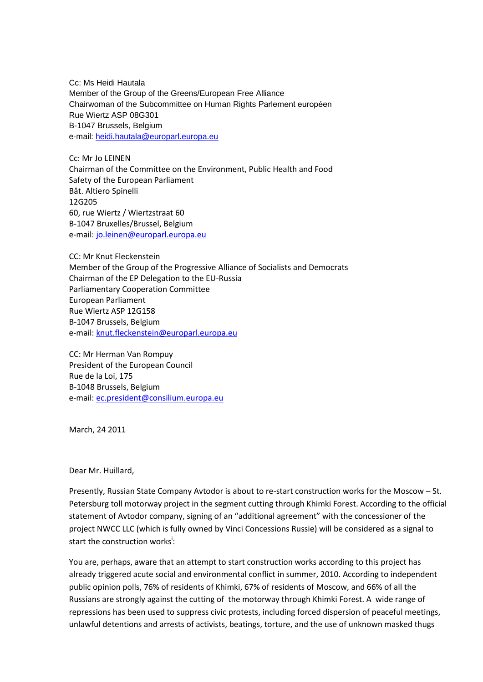Cc: Ms Heidi Hautala Member of the Group of the Greens/European Free Alliance Chairwoman of the Subcommittee on Human Rights Parlement européen Rue Wiertz ASP 08G301 B-1047 Brussels, Belgium e-mail: [heidi.hautala@europarl.europa.eu](mailto:heidi.hautala@europarl.europa.eu)

Cc: Mr Jo LEINEN Chairman of the Committee on the Environment, Public Health and Food Safety of the European Parliament Bât. Altiero Spinelli 12G205 60, rue Wiertz / Wiertzstraat 60 B-1047 Bruxelles/Brussel, Belgium e-mail[: jo.leinen@europarl.europa.eu](mailto:jo.leinen@europarl.europa.eu)

CC: Mr Knut Fleckenstein Member of the Group of the Progressive Alliance of Socialists and Democrats Chairman of the EP Delegation to the EU-Russia Parliamentary Cooperation Committee European Parliament Rue Wiertz ASP 12G158 B-1047 Brussels, Belgium e-mail[: knut.fleckenstein@europarl.europa.eu](mailto:knut.fleckenstein@europarl.europa.eu)

CC: Mr Herman Van Rompuy President of the European Council Rue de la Loi, 175 B-1048 Brussels, Belgium e-mail[: ec.president@consilium.europa.eu](mailto:ec.president@consilium.europa.eu)

March, 24 2011

Dear Mr. Huillard,

Presently, Russian State Company Avtodor is about to re-start construction works for the Moscow – St. Petersburg toll motorway project in the segment cutting through Khimki Forest. According to the official statement of Avtodor company, signing of an "additional agreement" with the concessioner of the project NWCC LLC (which is fully owned by Vinci Concessions Russie) will be considered as a signal to start the construction works<sup>i</sup>:

You are, perhaps, aware that an attempt to start construction works according to this project has already triggered acute social and environmental conflict in summer, 2010. According to independent public opinion polls, 76% of residents of Khimki, 67% of residents of Moscow, and 66% of all the Russians are strongly against the cutting of the motorway through Khimki Forest. A wide range of repressions has been used to suppress civic protests, including forced dispersion of peaceful meetings, unlawful detentions and arrests of activists, beatings, torture, and the use of unknown masked thugs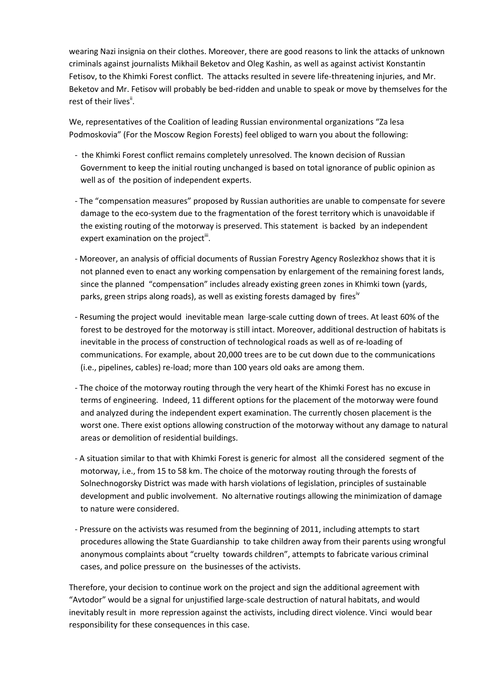wearing Nazi insignia on their clothes. Moreover, there are good reasons to link the attacks of unknown criminals against journalists Mikhail Beketov and Oleg Kashin, as well as against activist Konstantin Fetisov, to the Khimki Forest conflict. The attacks resulted in severe life-threatening injuries, and Mr. Beketov and Mr. Fetisov will probably be bed-ridden and unable to speak or move by themselves for the rest of their lives<sup>ii</sup>.

We, representatives of the Coalition of leading Russian environmental organizations "Za lesa Podmoskovia" (For the Moscow Region Forests) feel obliged to warn you about the following:

- the Khimki Forest conflict remains completely unresolved. The known decision of Russian Government to keep the initial routing unchanged is based on total ignorance of public opinion as well as of the position of independent experts.
- The "compensation measures" proposed by Russian authorities are unable to compensate for severe damage to the eco-system due to the fragmentation of the forest territory which is unavoidable if the existing routing of the motorway is preserved. This statement is backed by an independent expert examination on the project<sup>iii</sup>.
- Moreover, an analysis of official documents of Russian Forestry Agency Roslezkhoz shows that it is not planned even to enact any working compensation by enlargement of the remaining forest lands, since the planned "compensation" includes already existing green zones in Khimki town (yards, parks, green strips along roads), as well as existing forests damaged by fires<sup>iv</sup>
- Resuming the project would inevitable mean large-scale cutting down of trees. At least 60% of the forest to be destroyed for the motorway is still intact. Moreover, additional destruction of habitats is inevitable in the process of construction of technological roads as well as of re-loading of communications. For example, about 20,000 trees are to be cut down due to the communications (i.e., pipelines, cables) re-load; more than 100 years old oaks are among them.
- The choice of the motorway routing through the very heart of the Khimki Forest has no excuse in terms of engineering. Indeed, 11 different options for the placement of the motorway were found and analyzed during the independent expert examination. The currently chosen placement is the worst one. There exist options allowing construction of the motorway without any damage to natural areas or demolition of residential buildings.
- A situation similar to that with Khimki Forest is generic for almost all the considered segment of the motorway, i.e., from 15 to 58 km. The choice of the motorway routing through the forests of Solnechnogorsky District was made with harsh violations of legislation, principles of sustainable development and public involvement. No alternative routings allowing the minimization of damage to nature were considered.
- Pressure on the activists was resumed from the beginning of 2011, including attempts to start procedures allowing the State Guardianship to take children away from their parents using wrongful anonymous complaints about "cruelty towards children", attempts to fabricate various criminal cases, and police pressure on the businesses of the activists.

Therefore, your decision to continue work on the project and sign the additional agreement with "Avtodor" would be a signal for unjustified large-scale destruction of natural habitats, and would inevitably result in more repression against the activists, including direct violence. Vinci would bear responsibility for these consequences in this case.